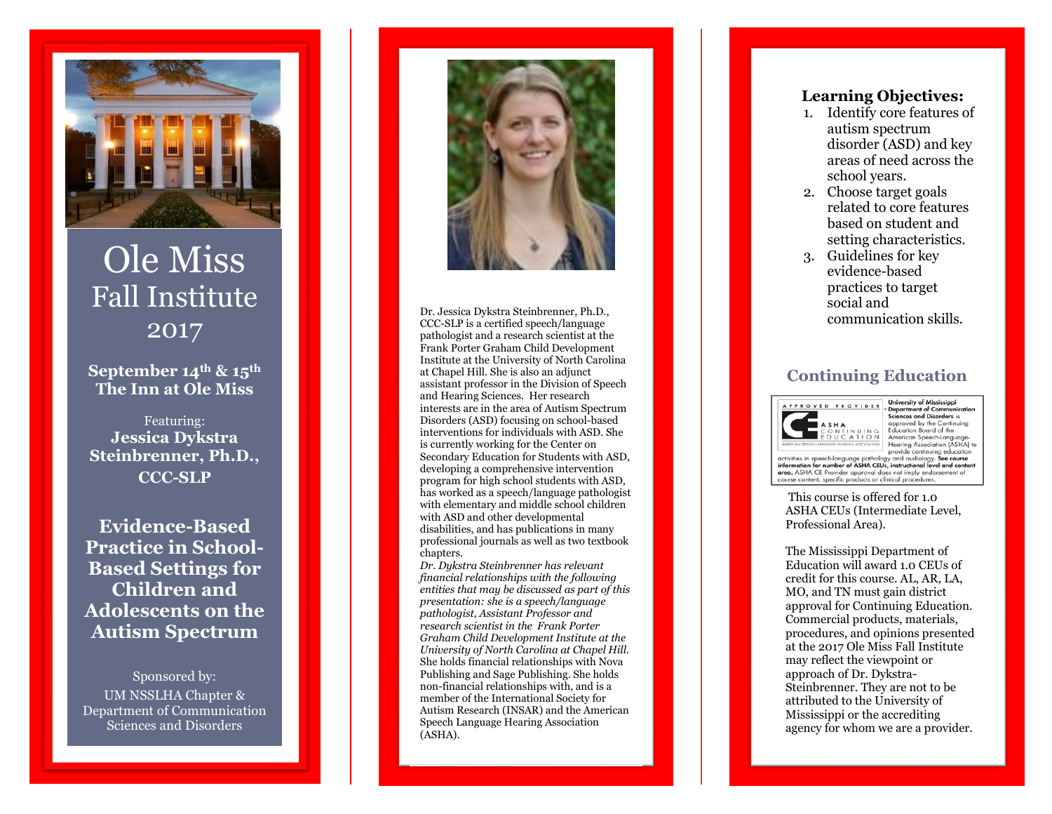

# Ole Miss Fall Institute 201 7

**September 14th & 15th The Inn at Ole Miss** 

Featuring: **Jessica Dykstra Steinbrenner, Ph.D., CCC -SLP**

**Evidence -Based Practice in School - Based Settings for Children and Adolescents on the Autism Spectrum**

Sponsored by: UM NSSLHA Chapter & Department of Communication Sciences and Disorders



Dr. Jessica Dykstra Steinbrenner, Ph.D.,<br>CCC SLP is a certified speech (language of a stellar steinbrenner) communication skills. CCC -SLP is a certified speech/language pathologist and a research scientist at the Frank Porter Graham Child Development Institute at the University of North Carolina at Chapel Hill. She is also an adjunct assistant professor in the Division of Speech and Hearing Sciences. Her research interests are in the area of Autism Spectrum Disorders (ASD) focusing on school -based interventions for individuals with ASD. She is currently working for the Center on Secondary Education for Students with ASD, developing a comprehensive intervention program for high school students with ASD, has worked as a speech/language pathologist with elementary and middle school children with ASD and other developmental disabilities, and has publications in many professional journals as well as two textbook chapters.

*Dr. Dykstra Steinbrenner has relevant financial relationships with the following entities that may be discussed as part of this presentation: she is a speech/language pathologist, Assistant Professor and research scientist in the Frank Porter Graham Child Development Institute at the University of North Carolina at Chapel Hill.* She holds financial relationships with Nova Publishing and Sage Publishing. She holds non -financial relationships with, and is a member of the International Society for Autism Research (INSAR) and the American Speech Language Hearing Association (ASHA).

#### **Learning Objectives:**

- 1. Identify core features of autism spectrum disorder (ASD) and key areas of need across the school years.
- 2. Choose target goals related to core features based on student and setting characteristics.
- 3. Guidelines for key evidence -based practices to target social and

### **Continuing Education**



University of Mississippi **Department of Communical**<br>Sciences and Disorders is approved by the Contin Education Board of the American Speech-Languag Hearing Association (ASHA) to provide continuing education

activities in speech-language pathology and audiology. See course<br>information for number of ASHA CEUs, instructional level and conten and ASHA CE Provider approval does not imply endorsement of<br>course content, specific products or clinical procedures.

This course is offered for 1.0 ASHA CEUs (Intermediate Level, Professional Area).

The Mississippi Department of Education will award 1.0 CEUs of credit for this course. AL, AR, LA, MO, and TN must gain district approval for Continuing Education. Commercial products, materials, procedures, and opinions presented at the 201 7 Ole Miss Fall Institute may reflect the viewpoint or approach of Dr. Dykstra - Steinbrenner. They are not to be attributed to the University of Mississippi or the accrediting agency for whom we are a provider.